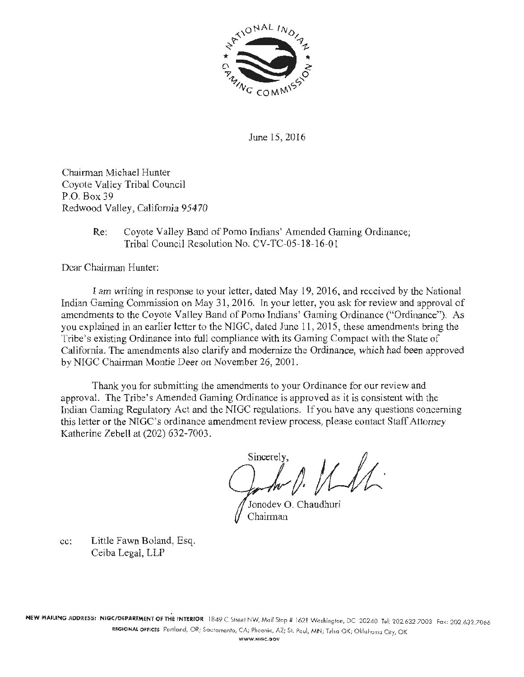

June 15, 2016

Chairman Michael Hunter Coyote Valley Tribal Council P.O. Box 39 Redwood Valley, California 95470

> Re: Coyote Valley Band of Pomo Indians' Amended Gaming Ordinance; Tribal Council Resolution No. CV-TC-05-18-16-01

Dear Chairman Hunter:

tam writing in response to your letter, dated May 19, 2016, and received by the National Indian Gaming Commission on May 31, 2016. Tn your letter, you ask for review and approval of amendments to the Coyote Valley Band of Pomo Indians' Gaming Ordinance ("Ordinance"). As you explained in an earlier letter to the NIGC, dated June 11, 2015, these amendments bring the Tribe's existing Ordinance into full compliance with its Gaming Compact with the State of California. The amendments also clarify and modernize the Ordinance, which had been approved by NIGC Chairman Montie Deer on November 26, 2001.

Thank you for submitting the amendments to your Ordinance for our review and approval. The Tribe's Amended Gaming Ordinance is approved as it is consistent with the Indian Gaming Regulatory Act and the NIGC regulations. If you have any questions concerning this letter or the NIGC's ordinance amendment review process, please contact Staff Attorney Katherine Zebell at (202) 632-7003.

Sincerely,

Jonodev O. Chaudhuri Chairman

cc: Little Fawn Boland, Esq. Ceiba Legal, LLP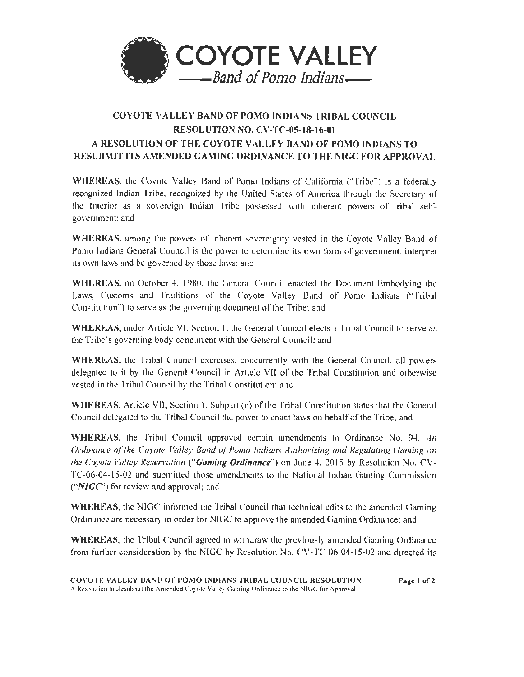

# COYOTE VALLE\' BAND OF POMO INDlANS TRIBAL COlJNCIL RESOLUTION NO. CV-TC-05-18-16-01 A RESOLUTION OF THE COYOTE VALLEY BAND OF POMO INDIANS TO RESUBMIT ITS AMENDED GAMING ORDINANCE TO THE NIGC FOR APPROVAL

WILEREAS, the Coyote Valley Band of Pomo Indians of California ("Tribe") is a federally recognized Indian Tribe, recognized by the United States of America through the Secretary of the Interior as a sovereign Indian Tribe possessed with inherent powers of tribal selfgovemmcnt: and

WHEREAS, among the powers of inherent sovereignty vested in the Coyote Valley Band of Pomo Indians General Council is the power to determine its own form of government, interpret its own laws and be governed by those laws: and

WHEREAS, on October 4, 1980, the General Council enacted the Document Embodying the Laws, Customs and lraditions of the Coyote Valley Band of Pomo Indians ("Tribal Constitution'') to serve as the governing document of the Tribe; and

WHEREAS, under  $\Delta$ rticle VI, Section 1, the General Council elects a Tribal Council to serve as the Tribe's governing body concurrent with the General Council; and

WHEREAS, the Tribal Council exercises, concurrently with the General Council, all powers delegated to it by the General Council in Article VII of the Tribal Constitution and otherwise vested in the Tribal Council by the Tribal Constitution: and

WHERFAS, Article VII, Section 1, Subpart (n) of the Tribal Constitution states that the General Council delegated to the Tribal Council the power to enact laws on behalf of the Tribe; and

WHEREAS, the Tribal Council approved certain mncndments lo Ordinance No. 94, *An Ordinance of the Coyote Valley Band of Pomo Indians Authorizing and Regulating Gaming on the Coyote Valley Reservation ("Gaming Ordinance")* on June 4, 2015 by Resolution No. CV-TC-06-04-15-02 and submitted those amendments to the National Indian Gaming Commission  $("NIGC")$  for review and approval; and

WHEREAS, the NIGC informed the Tribal Council that technical edits to the amended Gaming Ordinance are necessary in order for NlGC to approve the arnended Gaming Ordinance: and

WHEREAS, the Tribal Council agreed to withdraw the previously amended Gaming Ordinance from further consideration by the NIGC by Resolution No. CV -TC-06-04-15-02 and directed its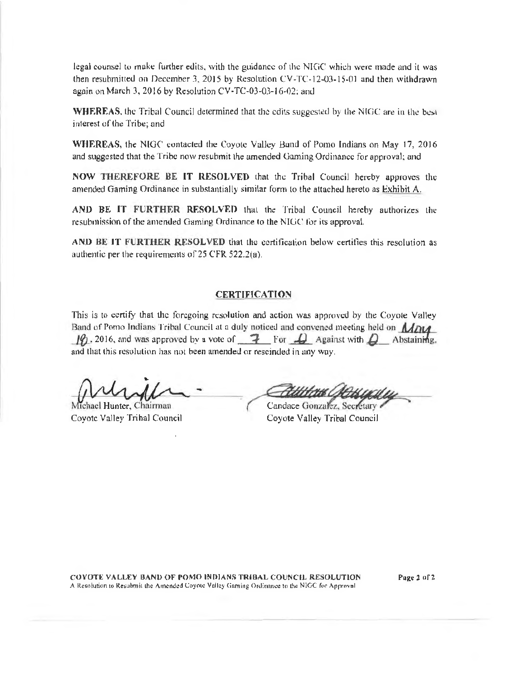legal counsel to make further edits, with the guidance of the NJGC which were made and it was then resubmitted on December 3, 2015 by Resolution CV-TC-12-03-15-01 and then withdrawn again on March 3, 2016 by Resolution CV-TC-03-03-16-02; and

WHEREAS, the Tribal Council determined that the edits suggested by the NIGC are in the best interest of the Tribe; and

WHEREAS, the NIGC contacted the Coyotc Valley Band of Pomo Indians on May 17, 2016 and suggested that the Tribe now resubmit the amended Gaming Ordinance for approval; and

NOW THEREFORE BE IT RESOLVED that the Tribal Council hereby approves the amended Gaming Ordinance in substantially similar form lo the attached hereto as Exhibit A.

AND BE IT FURTHER RESOLVED that the Tribal Council hereby authorizes the resubmission of the amended Gaming Ordinance to the NIUC for its approval.

AND BE IT FURTHER RESOLVED that the certification below certifies this resolution as authentic per the requirements of 25 CFR 522.2(a).

#### **CERTIFICATION**

This is to certify that the foregoing resolution and action was approved by the Coyote Valley Band of Pomo Indians Tribal Council at a duly noticed and convened meeting held on  $\mathcal{M}$ DLA. 10. 2016, and was approved by a vote of  $\rightarrow$  For  $\rightarrow$  Against with  $\rightarrow$  Abstaining, and that this resolution has not been amended or rescinded in any way.

Michael Hunter, Chairman Coyote Valley Tribal Council

amended or rescinded in any way.<br>
Candace Gonzalez, Secretary<br>
Candace Gonzalez, Secretary<br>
Coyote Valley Tribal Council

COYOTE VALLEY BAND OF POMO INDIANS TRIBAL COUNCIL RESOLUTION A Resolution to Resubmit the Amended Coyote Valley Gaming Ordinance to the NIGC for Approval

Page 2 of 2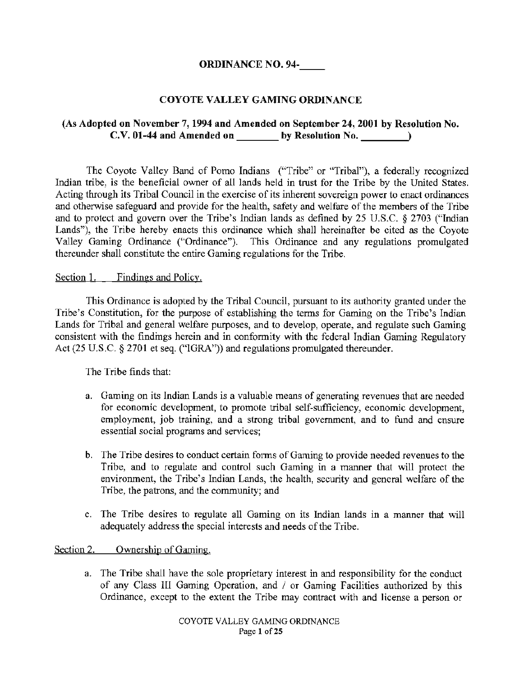# ORDINANCE NO. 94-

# COYOTE VALLEY GAMING ORDINANCE

# (As Adopted on November 7, 1994 and Amended on September 24, 2001 by Resolution No.  $C.V. 01-44$  and Amended on by Resolution No.  $\qquad \qquad$   $)$

The Coyote Valley Band of Pomo Indians ("Tribe" or "Tribal"), a federally recognized Indian tribe, is the beneficial owner of all lands held in trust for the Tribe by the United States. Acting through its Tribal Council in the exercise of its inherent sovereign power to enact ordinances and otherwise safeguard and provide for the health, safety and welfare of the members of the Tribe and to protect and govern over the Tribe's Indian lands as defined by 25 U.S.C. § 2703 ("Indian Lands"), the Tribe hereby enacts this ordinance which shall hereinafter be cited as the Coyote Valley Gaming Ordinance ("Ordinance"). This Ordinance and any regulations promulgated thereunder shall constitute the entire Gaming regulations for the Tribe.

#### Section 1. Findings and Policy.

This Ordinance is adopted by the Tribal Council, pursuant to its authority granted under the Tribe's Constitution, for the purpose of establishing the terms for Gaming on the Tribe's Indian Lands for Tribal and general welfare purposes, and to develop, operate, and regulate such Gaming consistent with the findings herein and in conformity with the federal Indian Gaming Regulatory Act (25 U.S.C. § 2701 et seq. ("IGRA")) and regulations promulgated thereunder.

The Tribe finds that:

- a. Gaming on its Indian Lands is a valuable means of generating revenues that are needed for economic development, to promote tribal self-sufficiency, economic development, employment, job training, and a strong tribal government, and to fund and ensure essential social programs and services;
- b. The Tribe desires to conduct certain fonns of Gaming to provide needed revenues to the Tribe, and to regulate and control such Gaming in a manner that will protect the environment, the Tribe's Indian Lands, the health, security and general welfare of the Tribe, the patrons, and the community; and
- c. The Tribe desires to regulate all Gaming on its Indian lands in a manner that will adequately address the special interests and needs of the Tribe.

Section 2. Ownership of Gaming.

a. The Tribe shall have the sole proprietary interest in and responsibility for the conduct of any Class III Gaming Operation, and / or Gaming Facilities authorized by this Ordinance, except to the extent the Tribe may contract with and license a person or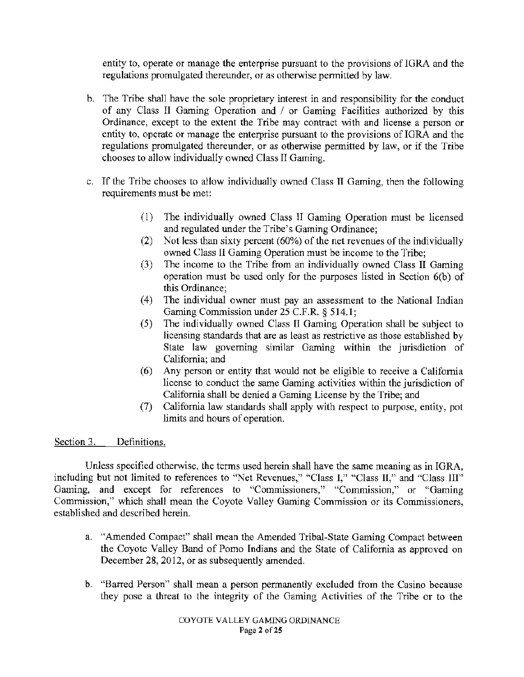entity to, operate or manage the enterprise pursuant to the provisions of IGRA and the regulations promulgated thereunder, or as otherwise permitted by law.

- b. The Tribe shall have the sole proprietary interest in and responsibility for the conduct of any Class II Gaming Operation and / or Gaming Facilities authorized by this Ordinance, except to the extent the Tribe may contract with and license a person or entity to, operate or manage the enterprise pursuant to the provisions of IGRA and the regulations promulgated thereunder, or as otherwise permitted by law, or if the Tribe chooses to allow individually owned Class II Gaming.
- c. If the Tribe chooses to allow individually owned Class II Gaming, then the following requirements must be met:
	- ( 1) The individually owned Class II Gaming Operation must be licensed and regulated under the Tribe's Gaming Ordinance;
	- (2) Not less than sixty percent (60%) of the net revenues of the individually owned Class 11 Gaming Operation must be income to the Tribe;
	- (3) The income to the Tribe from an individually owned Class II Gaming operation must be used only for the purposes listed in Section 6(b) of this Ordinance;
	- (4) The individual owner must pay an assessment to the National Indian Gaming Commission under 25 C.F.R. § 514. 1;
	- (5) The individually owned Class II Gaming Operation shall be subject to licensing standards that are as least as restrictive as those established by State law governing similar Gaming within the jurisdiction of California; and
	- (6) Any person or entity that would not be eligible to receive a California license to conduct the same Gaming activities within the jurisdiction of California shall be denied a Gaming License by the Tribe; and
	- (7) California law standards shall apply with respect to purpose, entity, pot limits and hours of operation.

#### Section 3. Definitions.

Unless specified otherwise, the terms used herein shall have the same meaning as in IGRA, including but not limited to references to "Net Revenues," "Class I," "Class II," and "Class III" Gaming, and except for references to "Commissioners," "Commission," or "Gaming Commission," which shall mean the Coyote Valley Gaming Commission or its Commissioners, established and described herein.

- a. "Amended Compact" shall mean the Amended Tribal-State Gaming Compact between the Coyote Valley Band of Pomo Indians and the State of California as approved on December 28, 2012, or as subsequently amended.
- b. "Barred Person" shall mean a person permanently excluded from the Casino because they pose a threat to the integrity of the Gaming Activities of the Tribe or to the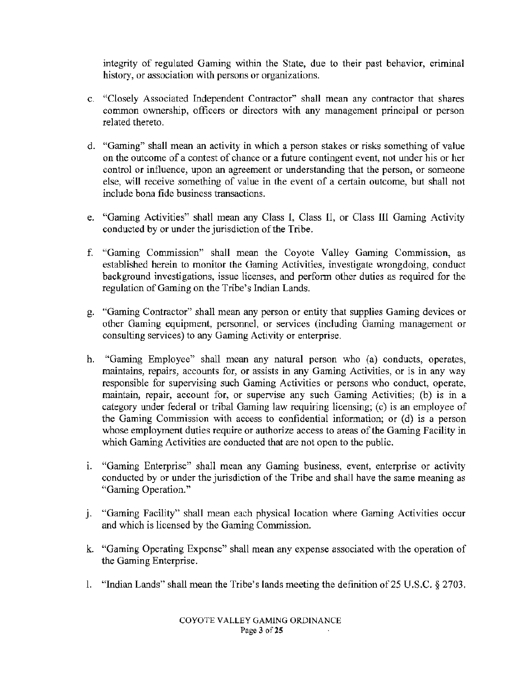integrity of regulated Gaming within the State, due to their past behavior, criminal history, or association with persons or organizations.

- c. "Closely Associated Independent Contractor" shall mean any contractor that shares common ownership, officers or directors with any management principal or person related thereto.
- d. "Gaming" shall mean an activity in which a person stakes or risks something of value on the outcome of a contest of chance or a future contingent event, not under his or her control or influence, upon an agreement or understanding that the person, or someone else, will receive something of value in the event of a certain outcome, but shall not include bona fide business transactions.
- e. "Gaming Activities" shall mean any Class 1, Class 11, or Class Ill Gaming Activity conducted by or under the jurisdiction of the Tribe.
- f. "Gaming Commission" shall mean the Coyote Valley Gaming Commission, as established herein to monitor the Gaming Activities, investigate wrongdoing, conduct background investigations, issue licenses, and perform other duties as required for the regulation of Gaming on the Tribe's Indian Lands.
- g. "Gaming Contractor" shall mean any person or entity that supplies Gaming devices or other Gaming equipment, personnel, or services (including Gaming management or consulting services) to any Gaming Activity or enterprise.
- h. "Gaming Employee" shall mean any natural person who (a) conducts, operates, maintains, repairs, accounts for, or assists in any Gaming Activities, or is in any way responsible for supervising such Gaming Activities or persons who conduct, operate, maintain, repair, account for, or supervise any such Gaming Activities; (b) is in a category under federal or tribal Gaming law requiring licensing; (c) is an employee of the Gaming Commission with access to confidential information; or  $(d)$  is a person whose employment duties require or authorize access to areas of the Gaming Facility in which Gaming Activities are conducted that are not open to the public.
- i. "Gaming Enterprise" shall mean any Gaming business, event, enterprise or activity conducted by or under the jurisdiction of the Tribe and shall have the same meaning as "Gaming Operation."
- j. "Gaming Facility" shall mean each physical location where Gaming Activities occur and which is licensed by the Gaming Commission.
- k. "Gaming Operating Expense" shall mean any expense associated with the operation of the Gaming Enterprise.
- l. "Indian Lands" shall mean the Tribe's lands meeting the definition of 25 U.S.C. § 2703.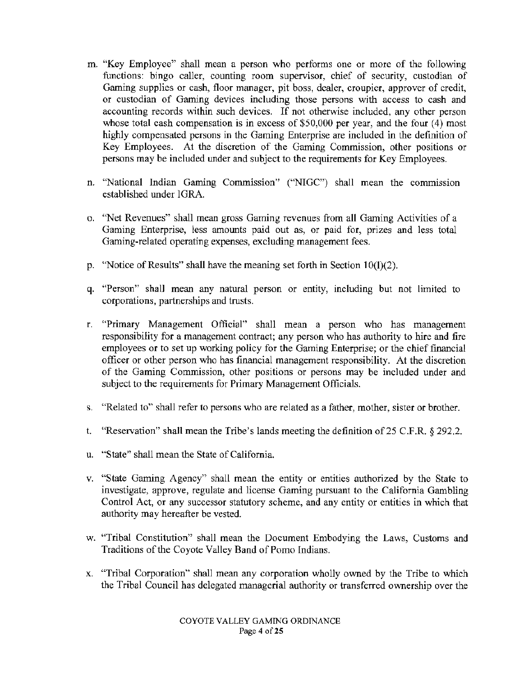- m. "Key Employee" shall mean a person who performs one or more of the following functions: bingo caller, counting room supervisor, chief of security, custodian of Gaming supplies or cash, floor manager, pit boss, dealer, croupier, approver of credit, or custodian of Gaming devices including those persons with access to cash and accounting records within such devices. If not otherwise included, any other person whose total cash compensation is in excess of \$50,000 per year, and the four (4) most highly compensated persons in the Gaming Enterprise are included in the definition of Key Employees. At the discretion of the Gaming Commission, other positions or persons may be included under and subject to the requirements for Key Employees.
- n. "National Indian Gaming Commission" ("NIGC") shall mean the commission established under IGRA.
- o. "Net Revenues" shall mean gross Gaming revenues from all Gaming Activities of a Gaming Enterprise, less amounts paid out as, or paid for, prizes and less total Gaming-related operating expenses, excluding management fees.
- p. "Notice of Results" shall have the meaning set forth in Section 10(1)(2).
- q. "Person" shall mean any natural person or entity, including but not limited to corporations, partnerships and trusts.
- r. "Primary Management Official" shall mean a person who has management responsibility for a management contract; any person who has authority to hire and fire employees or to set up working policy for the Gaming Enterprise; or the chief financial officer or other person who has financial management responsibility. At the discretion of the Gaming Commission, other positions or persons may be included under and subject to the requirements for Primary Management Officials.
- s. "Related to" shall refer to persons who are related as a father, mother, sister or brother.
- t. "Reservation" shall mean the Tribe's lands meeting the definition of 25 C.F.R. § 292.2.
- u. "State" shall mean the State of California.
- v. "State Gaming Agency" shall mean the entity or entities authorized by the State to investigate, approve, regulate and license Gaming pursuant to the California Gambling Control Act, or any successor statutory scheme, and any entity or entities in which that authority may hereafter be vested.
- w. "Tribal Constitution" shall mean the Document Embodying the Laws, Customs and Traditions of the Coyote Valley Band of Pomo Indians.
- x. "Tribal Corporation" shall mean any corporation wholly owned by the Tribe to which the Tribal Council has delegated managerial authority or transferred ownership over the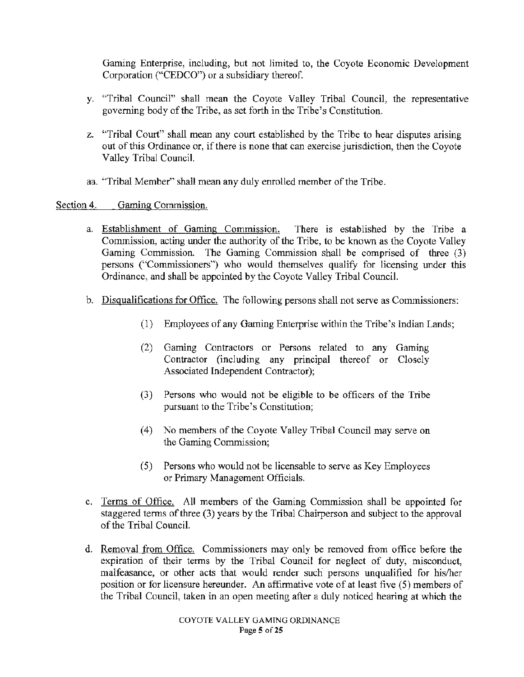Gaming Enterprise, including, but not limited to, the Coyote Economic Development Corporation ("CEDCO") or a subsidiary thereof.

- y. "Tribal Council" shall mean the Coyote Valley Tribal Council, the representative governing body of the Tribe, as set forth in the Tribe's Constitution.
- z. "Tribal Court" shall mean any court established by the Tribe to hear disputes arising out of this Ordinance or, if there is none that can exercise jurisdiction, then the Coyote Valley Tribal Council.
- aa. 'Tribal Member" shall mean any duly enrolled member of the Tribe.

Section 4. Gaming Commission.

- a. Establishment of Gaming Commission. There is established by the Tribe a Commission, acting under the authority of the Tribe, to be known as the Coyote Valley Gaming Commission. The Gaming Commission shall be comprised of three (3) persons ("Commissioners") who would themselves qualify for licensing under this Ordinance, and shall be appointed by the Coyote Valley Tribal Council.
- b. Disqualifications for Office. The following persons shall not serve as Commissioners:
	- (1) Employees of any Gaming Enterprise within the Tribe's Indian Lands;
	- (2) Gaming Contractors or Persons related to any Gaming Contractor (including any principal thereof or Closely Associated Independent Contractor);
	- (3) Persons who would not be eligible to be officers of the Tribe pursuant to the Tribe's Constitution;
	- (4) No members of the Coyote Valley Tribal Council may serve on the Gaming Commission;
	- (5) Persons who would not be licensable to serve as Key Employees or Primary Management Officials.
- c. Terms of Office. All members of the Gaming Commission shall be appointed for staggered terms of three (3) years by the Tribal Chairperson and subject to the approval of the Tribal Council.
- d. Removal from Office. Commissioners may only be removed from office before the expiration of their terms by the Tribal Council for neglect of duty, misconduct, malfeasance, or other acts that would render such persons unqualified for his/her position or for licensure hereunder. An affirmative vote of at least five (5) members of the Tribal Council, taken in an open meeting after a duly noticed hearing at which the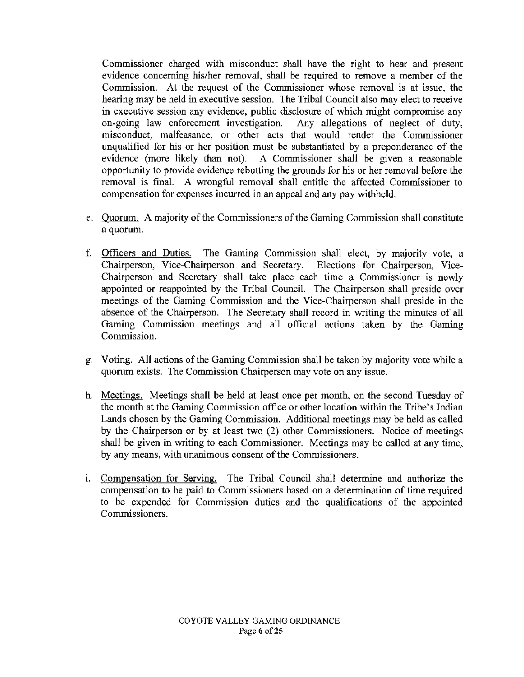Commissioner charged with misconduct shall have the right to hear and present evidence concerning his/her removal, shall be required to remove a member of the Commission. At the request of the Commissioner whose removal is at issue, the hearing may be held in executive session. The Tribal Council also may elect to receive in executive session any evidence, public disclosure of which might compromise any on-going law enforcement investigation. Any allegations of neglect of duty, misconduct, malfeasance, or other acts that would render the Commissioner unqualified for his or her position must be substantiated by a preponderance of the evidence (more likely than not). A Commissioner shall be given a reasonable opportunity to provide evidence rebutting the grounds for his or her removal before the removal is final. A wrongful removal shall entitle the affected Commissioner to compensation for expenses incurred in an appeal and any pay withheld.

- e. Quorum. A majority of the Commissioners of the Gaming Commission shall constitute a quorum.
- f. Officers and Duties. The Gaming Commission shall elect, by majority vote, a Chairperson, Vice-Chairperson and Secretary. Elections for Chairperson, Vice-Chairperson and Secretary shall take place each time a Commissioner is newly appointed or reappointed by the Tribal Council. The Chairperson shall preside over meetings of the Gaming Commission and the Vice-Chairperson shall preside in the absence of the Chairperson. The Secretary shall record in writing the minutes of all Gaming Commission meetings and all official actions taken by the Gaming Commission.
- g. Voting. All actions of the Gaming Commission shall be taken by majority vote while a quorum exists. The Commission Chairperson may vote on any issue.
- h. Meetings. Meetings shall be held at least once per month, on the second Tuesday of the month at the Gaming Commission office or other location within the Tribe's Indian Lands chosen by the Gaming Commission. Additional meetings may be held as called by the Chairperson or by at least two (2) other Commissioners. Notice of meetings shall be given in writing to each Commissioner. Meetings may be called at any time, by any means, with unanimous consent of the Commissioners.
- 1. Compensation for Serving. The Tribal Council shall determine and authorize the compensation to be paid to Commissioners based on a determination of time required to be expended for Commission duties and the qualifications of the appointed Commissioners.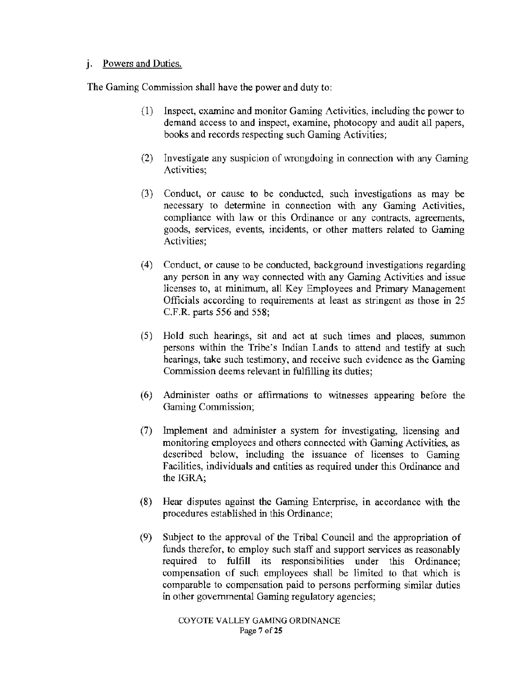# **J.** Powers and Duties.

The Gaming Commission shall have the power and duty to:

- (1) Inspect, examine and monitor Gaming Activities, including the power to demand access to and inspect, examine, photocopy and audit all papers, books and records respecting such Gaming Activities;
- (2) Investigate any suspicion of wrongdoing in connection with any Gaming Activities;
- (3) Conduct, or cause to be conducted, such investigations as may be necessary to determine in connection with any Gaming Activities, compliance with law or this Ordinance or any contracts, agreements, goods, services, events, incidents, or other matters related to Gaming Activities;
- ( 4) Conduct, or cause to be conducted, background investigations regarding any person in any way connected with any Gaming Activities and issue licenses to, at minimum, all Key Employees and Primary Management Officials according to requirements at least as stringent as those **in** 25 C.F.R. parts 556 and 558;
- (5) Hold such hearings, sit and act at such times and places, summon persons within the Tribe's Indian Lands to attend and testify at such hearings, take such testimony, and receive such evidence as the Gaming Commission deems relevant in fulfilling its duties;
- (6) Administer oaths or affirmations to witnesses· appearing before the Gaming Commission;
- (7) Implement and administer a system for investigating, licensing and monitoring employees and others connected with Gaming Activities, as described below, including the issuance of licenses to Gaming Facilities, individuals and entities as required under this Ordinance and the IGRA;
- (8) Hear disputes against the Gaming Enterprise, in accordance with the procedures established in this Ordinance;
- (9) Subject to the approval of the Tribal Council and the appropriation of funds therefor, to employ such staff and support services as reasonably required to **fulfill** its responsibilities under this Ordinance; compensation of such employees shall be limited to that which is comparable to compensation paid to persons performing similar duties in other governmental Gaming regulatory agencies;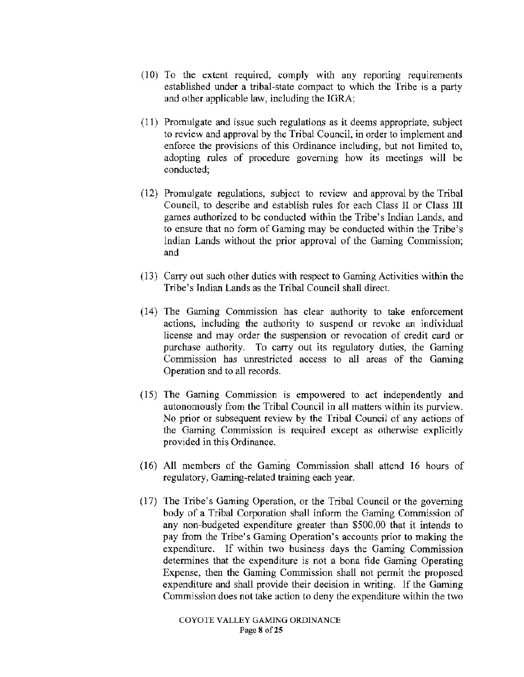- $(10)$  To the extent required, comply with any reporting requirements established under a tribal-state compact to which the Tribe is a party and other applicable law, including the IGRA;
- (11) Promulgate and issue such regulations as it deems appropriate, subject to review and approval by the Tribal Council, in order to implement and enforce the provisions of this Ordinance including, but not limited to, adopting rules of procedure governing how its meetings will be conducted;
- (12) Promulgate regulations, subject to review and approval by the Tribal Council, to describe and establish rules for each Class II or Class III games authorized to be conducted within the Tribe's Indian Lands, and to ensure that no form of Gaming may be conducted within the Tribe's Indian Lands without the prior approval of the Gaming Commission; and
- (13) Carry out such other duties with respect to Gaming Activities within the Tribe's Indian Lands as the Tribal Council shall direct.
- (14) The Gaming Commission has clear authority to take enforcement actions, including the authority to suspend or revoke an individual license and may order the suspension or revocation of credit card or purchase authority. To carry out its regulatory duties, the Gaming Commission has unrestricted access to all areas of the Gaming Operation and to all records.
- ( 15) The Gaming Commission is empowered to act independently and autonomously from the Tribal Council in all matters within its purview. No prior or subsequent review by the Tribal Council of any actions of the Gaming Commission is required except as otherwise explicitly provided in this Ordinance.
- (16) All members of the Gaming Commission shall attend 16 hours of regulatory, Gaming-related training each year.
- (17) The Tribe's Gaming Operation, or the Tribal Council or the governing body of a Tribal Corporation shall inform the Gaming Commission of any non-budgeted expenditure greater than \$500.00 that it intends to pay from the Tribe's Gaming Operation's accounts prior to making the expenditure. If within two business days the Gaming Commission determines that the expenditure is not a bona fide Gaming Operating Expense, then the Gaming Commission shall not permit the proposed expenditure and shall provide their decision in writing. If the Gaming Commission does not take action to deny the expenditure within the two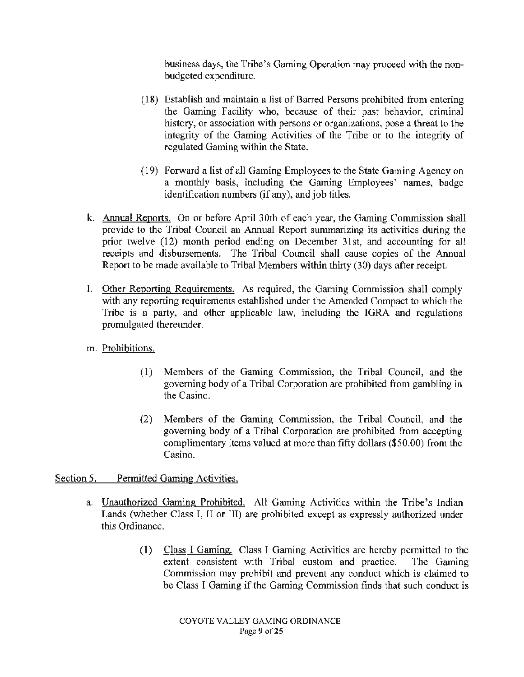business days, the Tribe's Gaming Operation may proceed with the nonbudgeted expenditme.

- (18) Establish and maintain a list of Barred Persons prohibited from entering the Gaming Facility who, because of their past behavior, criminal history, or association with persons or organizations, pose a threat to the integrity of the Gaming Activities of the Tribe or to the integrity of regulated Gaming within the State.
- (19) Forward a list of all Gaming Employees to the State Gaming Agency on a monthly basis, including the Gaming Employees' names, badge identification numbers (if any), and job titles.
- k. Annual Reports. On or before April 30th of each year, the Gaming Commission shall provide to the Tribal Council an Annual Report summarizing its activities during the prior twelve (12) month period ending on December 31st, and accounting for all receipts and disbursements. The Tribal Council shall cause copies of the Annual Report to be made available to Tribal Members within thirty (30) days after receipt.
- l. Other Reporting Requirements. As required, the Gaming Commission shall comply with any reporting requirements established under the Amended Compact to which the Tribe is a patty, and other applicable law, including the IGRA and regulations promulgated thereunder.
- m. Prohibitions.
	- (1) Members of the Gaming Commission, the Tribal Council, and the governing body of a Tribal Corporation are prohibited from gambling in the Casino.
	- (2) Members of the Gaming Commission, the Tribal Council, and the governing body of a Tribal Corporation are prohibited from accepting complimentary items valued at more than fifty dollars (\$50.00) from the Casino.

Section 5. Permitted Gaming Activities.

- a. Unauthorized Gaming Prohibited. All Gaming Activities within the Tribe's Indian Lands (whether Class I, II or III) are prohibited except as expressly authorized under this Ordinance.
	- (1) Class I Gaming. Class I Gaming Activities are hereby permitted to the extent consistent with Tribal custom and practice. The Gaming Commission may prohibit and prevent any conduct which is claimed to be Class I Gaming if the Gaming Commission finds that such conduct is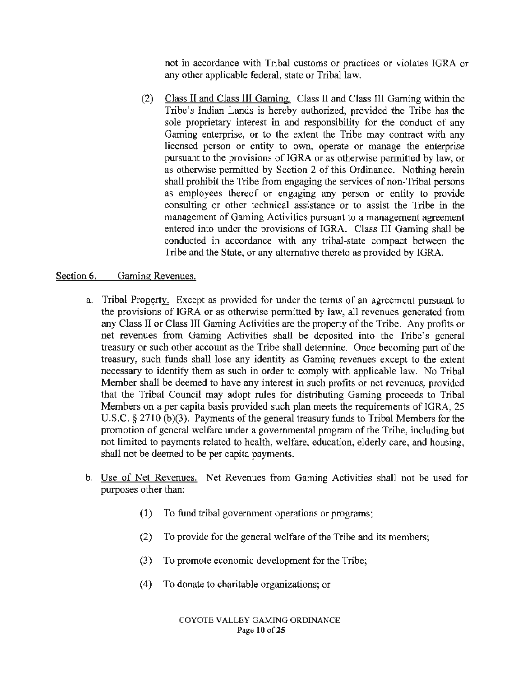not in accordance with Tribal customs or practices or violates IGRA or any other applicable federal, state or Tribal law.

(2) Class II and Class III Gaming. Class II and Class III Gaming within the Tribe's Indian Lands is hereby authorized, provided the Tribe has the sole proprietary interest in and responsibility for the conduct of any Gaming enterprise, or to the extent the Tribe may contract with any licensed person or entity to own, operate or manage the enterprise pursuant to the provisions of IGRA or as otherwise permitted by law, or as otherwise permitted by Section 2 of this Ordinance. Nothing herein shall prohibit the Tribe from engaging the services of non-Tribal persons as employees thereof or engaging any person or entity to provide consulting or other technical assistance or to assist the Tribe in the management of Gaming Activities pursuant to a management agreement entered into under the provisions of IGRA. Class III Gaming shall be conducted in accordance with any tribal-state compact between the Tribe and the State, or any alternative thereto as provided by IGRA.

#### Section 6. Gaming Revenues.

- a. Tribal Property. Except as provided for under the terms of an agreement pursuant to the provisions of IGRA or as otherwise permitted by law, all revenues generated from any Class II or Class III Gaming Activities are the property of the Tribe. Any profits or net revenues from Gaming Activities shall be deposited into the Tribe's general treasury or such other account as the Tribe shall determine. Once becoming part of the treasury, such funds shall lose any identity as Gaming revenues except to the extent necessary to identify them as such in order to comply with applicable law. No Tribal Member shall be deemed to have any interest in such profits or net revenues, provided that the Tribal Council may adopt rules for distributing Gaming proceeds to Tribal Members on a per capita basis provided such plan meets the requirements of IGRA, 25 U.S.C. § 2710 (b)(3). Payments of the general treasury funds to Tribal Members for the promotion of general welfare under a governmental program of the Tribe, including but not limited to payments related to health, welfare, education, elderly care, and housing, shall not be deemed to be per capita payments.
- b. Use of Net Revenues. Net Revenues from Gaming Activities shall not be used for purposes other than:
	- (1) To fund tribal government operations or programs;
	- (2) To provide for the general welfare of the Tribe and its members;
	- (3) To promote economic development for the Tribe;
	- (4) To donate to charitable organizations; or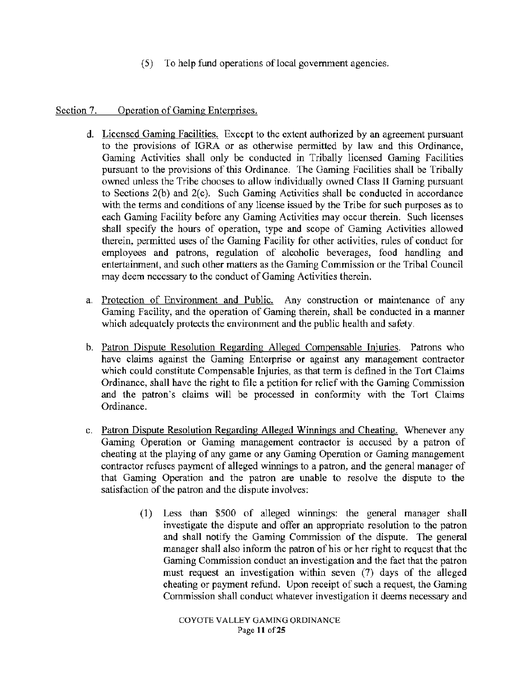(5) To help fund operations of local government agencies.

# Section 7. Operation of Gaming Enterprises.

- d. Licensed Gaming Facilities. Except to the extent authorized by an agreement pursuant to the provisions of IGRA or as otherwise permitted by law and this Ordinance, Gaming Activities shall only be conducted in Tribally licensed Gaming Facilities pursuant to the provisions of this Ordinance. The Gaming Facilities shall be Tribally owned unless the Tribe chooses to allow individually owned Class 11 Gaming pursuant to Sections 2(b) and 2(c). Such Gaming Activities shall be conducted in accordance with the terms and conditions of any license issued by the Tribe for such purposes as to each Gaming Facility before any Gaming Activities may occur therein. Such licenses shall specify the hours of operation, type and scope of Gaming Activities allowed therein, permitted uses of the Gaming Facility for other activities, rules of conduct for employees and patrons, regulation of alcoholic beverages, food handling and entertainment, and such other matters as the Gaming Commission or the Tribal Council may deem necessary to the conduct of Gaming Activities therein.
- a. Protection of Environment and Public. Any construction or maintenance of any Gaming Facility, and the operation of Gaming therein, shall be conducted in a manner which adequately protects the environment and the public health and safety.
- b. Patron Dispute Resolution Regarding Alleged Compensable Injuries. Patrons who have claims against the Gaming Enterprise or against any management contractor which could constitute Compensable Injuries, as that term is defined in the Tort Claims Ordinance, shall have the right to file a petition for relief with the Gaming Commission and the patron's claims will be processed in conformity with the Tort Claims Ordinance.
- c. Patron Dispute Resolution Regarding Alleged Winnings and Cheating. Whenever any Gaming Operation or Gaming management contractor is accused by a patron of cheating at the playing of any game or any Gaming Operation or Gaming management contractor refuses payment of alleged winnings to a patron, and the general manager of that Gaming Operation and the patron are unable to resolve the dispute to the satisfaction of the patron and the dispute involves:
	- (1) Less than \$500 of alleged winnings: the general manager shall investigate the dispute and offer an appropriate resolution to the patron and shall notify the Gaming Commission of the dispute. The general manager shall also inform the patron of his or her right to request that the Gaming Commission conduct an investigation and the fact that the patron must request an investigation within seven (7) days of the alleged cheating or payment refund. Upon receipt of such a request, the Gaming Commission shall conduct whatever investigation it deems necessary and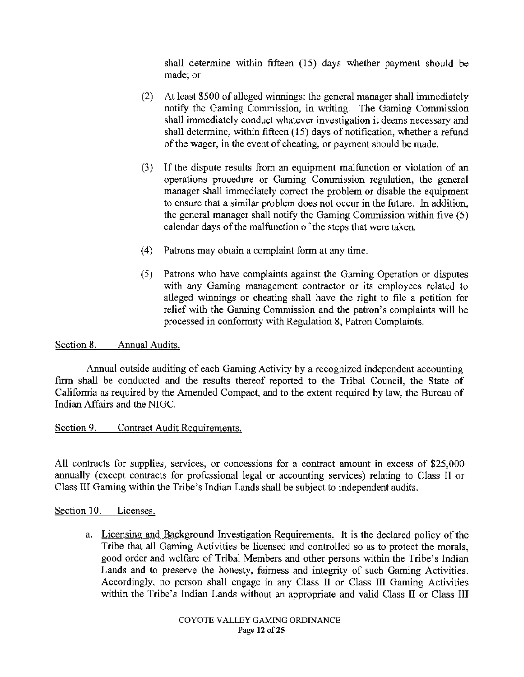shall determine within fifteen (15) days whether payment should be made; or

- (2) At least \$500 of alleged winnings: the general manager shall immediately notify the Gaming Commission, in writing. The Gaming Commission shall immediately conduct whatever investigation it deems necessary and shall determine, within fifteen (15) days of notification, whether a refund of the wager, in the event of cheating, or payment should be made.
- (3) If the dispute results from an equipment malfunction or violation of an operations procedure or Gaming Commission regulation, the general manager shall immediately correct the problem or disable the equipment to ensure that a similar problem does not occur in the future. In addition, the general manager shall notify the Gaming Commission within five (5) calendar days of the malfunction of the steps that were taken.
- (4) Patrons may obtain a complaint form at any time.
- (5) Patrons who have complaints against the Gaming Operation or disputes with any Gaming management contractor or its employees related to alleged winnings or cheating shall have the right to file a petition for relief with the Gaming Commission and the patron's complaints will be processed in conformity with Regulation 8, Patron Complaints.

#### Section 8. Annual Audits.

Annual outside auditing of each Gaming Activity by a recognized independent accounting firm shall be conducted and the results thereof reported to the Tribal Council, the State of California as required by the Amended Compact, and to the extent required by law, the Bureau of Indian Affairs and the NIGC.

# Section 9. Contract Audit Requirements.

All contracts for supplies, services, or concessions for a contract amount in excess of \$25,000 annually (except contracts for professional legal or accounting services) relating to Class JI or Class III Gaming within the Tribe's Indian Lands shall be subject to independent audits.

#### Section 10. Licenses.

a. Licensing and Background Investigation Requirements. It is the declared policy of the Tribe that all Gaming Activities be licensed and controlled so as to protect the morals, good order and welfare of Tribal Members and other persons within the Tribe's Indian Lands and to preserve the honesty, fairness and integrity of such Gaming Activities. Accordingly, no person shall engage in any Class ll or Class III Gaming Activities within the Tribe's Indian Lands without an appropriate and valid Class II or Class III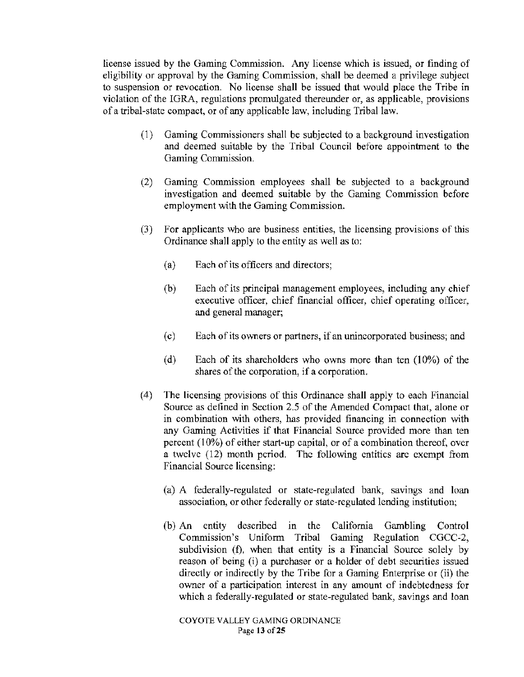license issued by the Gaming Commission. Any license which is issued, or finding of eligibility or approval by the Gaming Commission. shall be deemed a privilege subject to suspension or revocation. No license shall be issued that would place the Tribe in violation of the IGRA, regulations promulgated thereunder or, as applicable, provisions of a tribal-state compact. or of any applicable law, including Tribal law.

- (1) Gaming Commissioners shall be subjected to a background investigation and deemed suitable by the Tribal Council before appointment to the Gaming Commission.
- (2) Gaming Commission employees shall be subjected to a background investigation and deemed suitable by the Gaming Commission before employment with the Gaming Commission.
- (3) For applicants who are business entities, the licensing provisions of this Ordinance shall apply to the entity as well as to:
	- (a) Each of its officers and directors;
	- (b) Each of its principal management employees, including any chief executive officer, chief financial officer, chief operating officer, and general manager;
	- ( c) Each of its owners or partners, if an unincorporated business; and
	- (d) Each of its shareholders who owns more than ten (10%) of the shares of the corporation, if a corporation.
- ( 4) The licensing provisions of this Ordinance shall apply to each Financial Source as defined in Section 2.5 of the Amended Compact that, alone or in combination with others, has provided financing in connection with any Gaming Activities if that Financial Source provided more than ten percent ( 10%) of either start-up capital, or of a combination thereof, over a twelve (12) month period. The following entities arc exempt from Financial Source licensing:
	- (a) A federally-regulated or state-regulated bank, savings and loan association, or other federally or state-regulated lending institution;
	- (b) An entity described in the California Gambling Control Commission's Uniform Tribal Gaming Regulation CGCC-2, subdivision (f), when that entity is a Financial Source solely by reason of being (i) a purchaser or a holder of debt secwities issued directly or indirectly by the Tribe for a Gaming Enterprise or (ii) the owner of a participation interest in any amount of indebtedness for which a federally-regulated or state-regulated bank, savings and loan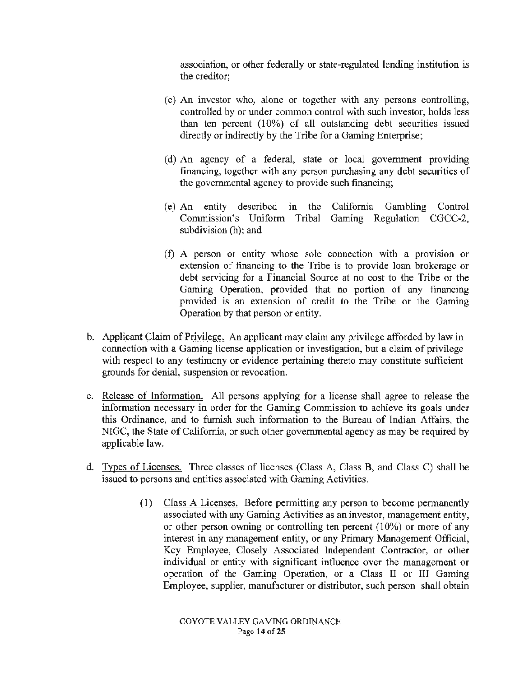association, or other federally or state-regulated lending institution is the creditor;

- (c) An investor who, alone or together with any persons controlling, controlled by or under common control with such investor, holds less than ten percent  $(10\%)$  of all outstanding debt securities issued directly or indirectly by the Tribe for a Gaming Enterprise;
- ( d) An agency of a federal, state or local government providing financing, together with any person purchasing any debt securities of the governmental agency to provide such financing;
- (e) An entity described in the Califomia Gambling Control Commission's Uniform Tribal Gaming Regulation CGCC-2, subdivision (h); and
- (f) A person or entity whose sole connection with a provision or extension of financing to the Tribe is to provide loan brokerage or debt servicing for a Financial Source at no cost to the Tribe or the Gaming Operation, provided that no portion of any financing provided is an extension of credit to the Tribe or the Gaming Operation by that person or entity.
- b. Applicant Claim of Privilege. An applicant may claim any privilege afforded by law in connection with a Gaming license application or investigation, but a claim of privilege with respect to any testimony or evidence pertaining thereto may constitute sufficient grounds for denial, suspension or revocation.
- c. Release of Infonnation. All persons applying for a license shall agree to release the information necessary in order for the Gaming Commission to achieve its goals under this Ordinance, and to furnish such information to the Bureau of Indian Affairs, the NIGC, the State of Califomia, or such other govemmental agency as may be required by applicable law.
- d. Types of Licenses. Three classes of licenses (Class A, Class B, and Class C) shall be issued to persons and entities associated with Gaming Activities.
	- ( 1) Class A Licenses. Before permitting any person to become permanently associated with any Gaming Activities as an investor, management entity, or other person owning or controlling ten percent (10%) or more of any interest in any management entity, or any Primary Management Official, Key Employee, Closely Associated Independent Contractor, or other individual or entity with significant influence over the management or operation of the Gaming Operation, or a Class II or III Gaming Employee, supplier, manufacturer or distributor, such person shall obtain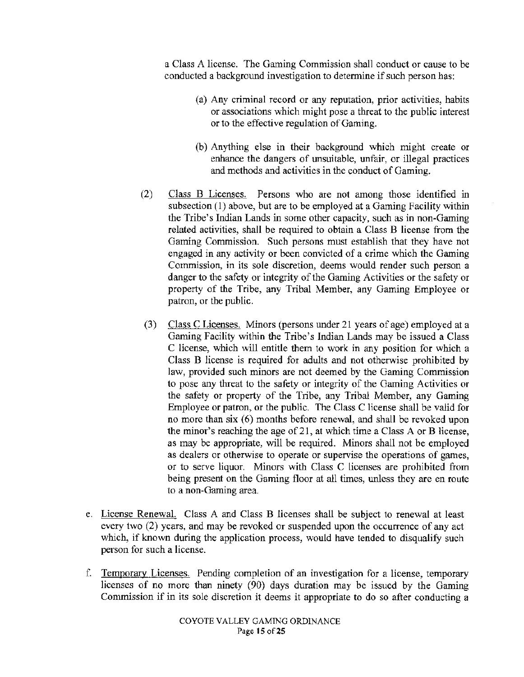a Class A license. The Gaming Commission shall conduct or cause to be conducted a background investigation to determine if such person has:

- (a) Any criminal record or any reputation, prior activities, habits or associations which might pose a threat to the public interest or to the effective regulation of Gaming.
- (b) Anything else in their background which might create or enhance the dangers of unsuitable, unfair, or illegal practices and methods and activities in the conduct of Gaming.
- (2) Class B Licenses. Persons who are not among those identified in subsection (1) above, but are to be employed at a Gaming Facility within the Tribe's Indian Lands in some other capacity, such as in non-Gaming related activities, shall be required to obtain a Class B license from the Gaming Commission. Such persons must establish that they have not engaged in any activity or been convicted of a crime which the Gaming Commission, in its sole discretion, deems would render such person a danger to the safety or integrity of the Gaming Activities or the safety or property of the Tribe, any Tribal Member, any Gaming Employee or patron, or the public.
- (3) Class C Licenses. Minors (persons under 21 years of age) employed at a Gaming Facility within the Tribe's Indian Lands may be issued a Class C license, which will entitle them to work in any position for which a Class B license is required for adults and not otherwise prohibited by law, provided such minors are not deemed by the Gaming Commission to pose any threat to the safety or integrity of the Gaming Activities or the safety or property of the Tribe, any Tribal Member, any Gaming Employee or patron, or the public. The Class C license shall be valid for no more than six (6) months before renewal, and shall be revoked upon the minor's reaching the age of  $21$ , at which time a Class A or B license, as may be appropriate, will be required. Minors shall not be employed as dealers or otherwise to operate or supervise the operations of games, or to serve liquor. Minors with Class C licenses are prohibited from being present on the Gaming floor at all times, unless they are en route to a non-Gaming area.
- e. License Renewal. Class A and Class B licenses shall be subject to renewal at least every two (2) years, and may be revoked or suspended upon the occurrence of any act which, if known during the application process, would have tended to disqualify such person for such a license.
- f. Temporary Licenses. Pending completion of an investigation for a license, temporary licenses of no more than ninety  $(90)$  days duration may be issued by the Gaming Commission if in its sole discretion it deems it appropriate to do so after conducting a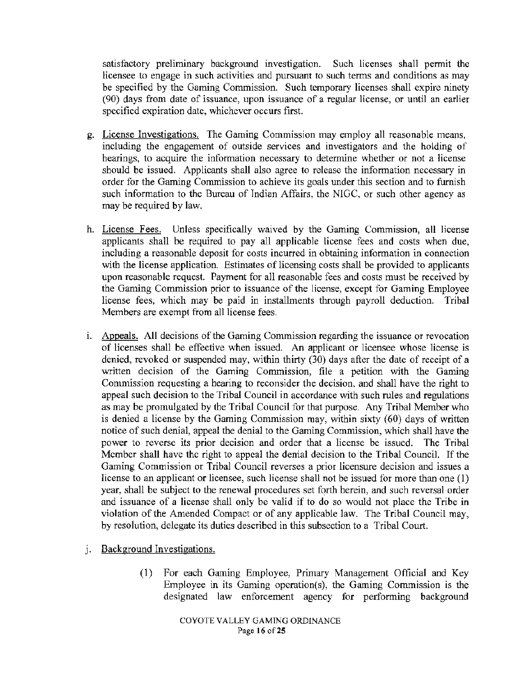satisfactory preliminary background investigation. Such licenses shall permit the licensee to engage in such activities and pursuant to such terms and conditions as may be specified by the Gaming Commission. Such temporary licenses shall expire ninety (90) days from date of issuance, upon issuance of a regular license, or until an earlier specified expiration date, whichever occurs first.

- g. License Investigations. The Gaming Commission may employ all reasonable means, including the engagement of outside services and investigators and the holding of hearings, to acquire the information necessary to determine whether or not a license should be issued. Applicants shall also agree to release the information necessary in order for the Gaming Commission to achieve its goals under this section and to furnish such information to the Bureau of Indian Affairs, the NIGC, or such other agency as may be required by law.
- h. License Fees. Unless specifically waived by the Gaming Commission, all license applicants shall be required to pay all applicable license fees and costs when due, including a reasonable deposit for costs incurred in obtaining information in connection with the license application. Estimates of licensing costs shall be provided to applicants upon reasonable request. Payment for all reasonable fees and costs must be received by the Gaming Commission prior to issuance of the license, except for Gaming Employee license fees, which may be paid in installments through payroll deduction. Tribal Members are exempt from all license fees.
- 1. Appeals. All decisions of the Gaming Commission regarding the issuance or revocation of licenses shall be effective when issued. An applicant or licensee whose license is denied, revoked or suspended may, within thirty  $(30)$  days after the date of receipt of a written decision of the Gaming Commission, file a petition with the Gaming Commission requesting a hearing to reconsider the decision, and shall have the right to appeal such decision to the Tribal Council in accordance with such rules and regulations as may be promulgated by the Tribal Council for that purpose. Any Tribal Member who is denied a license by the Gaming Commission may, within sixty (60) days of written notice of such denial, appeal the denial to the Gaming Commission, which shall have the power to reverse its prior decision and order that a license be issued. The Tribal Member shall have the right to appeal the denial decision to the Tribal Council. If the Gaming Commission or Tribal Council reverses a prior licensure decision and issues a license to an applicant or licensee, such license shall not be issued for more than one (1) year, shall be subject to the renewal procedures set forth herein, and such reversal order and issuance of a license shall only be valid if to do so would not place the Tribe in violation of the Amended Compact or of any applicable law. The Tribal Council may, by resolution, delegate its duties described in this subsection to a Tribal Court.
- j. Background Investigations.
	- (1) For each Gaming Employee, Primary Management Official and Key Employee in its Gaming operation(s), the Gaming Commission is the designated law enforcement agency for performing background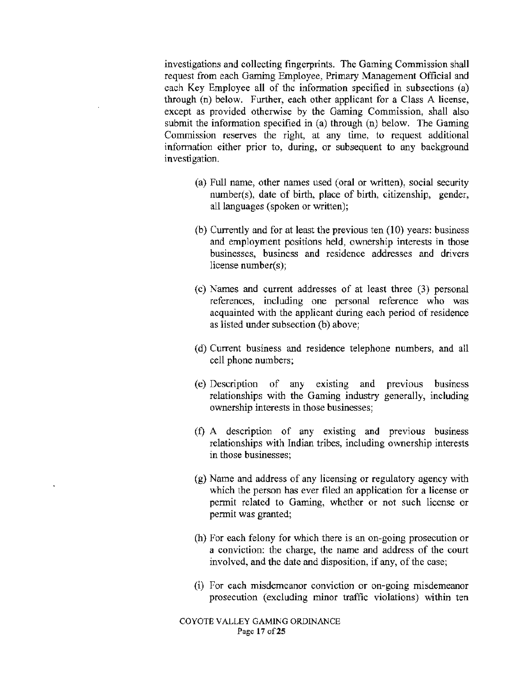investigations and collecting fingerprints. The Gaming Commission shall request from each Gaming Employee, Primary Management Official and each Key Employee all of the information specified in subsections (a) through (n) below. Further, each other applicant for a Class A license, except as provided otherwise by the Gaming Commission, shall also submit the information specified in (a) through (n) below. The Gaming Commission reserves the right, at any time, to request additional information either prior to, during. or subsequent to any background investigation.

- (a) Full name, other names used (oral or written), social security number(s), date of birth, place of birth, citizenship, gender, all languages (spoken or written);
- (b) Currently and for at least the previous ten (10) years: business and employment positions held, ownership interests in those businesses, business and residence addresses and drivers license number(s);
- (c) Names and current addresses of at least three (3) personal references, including one personal reference who was acquainted with the applicant during each period of residence as listed under subsection (b) above;
- (d) Current business and residence telephone numbers, and all cell phone numbers;
- (e) Description of any existing and previous business relationships with the Gaming industry generally, including ownership interests in those businesses;
- (f) A description of any existing and previous business relationships with Indian tribes, including ownership interests in those businesses;
- (g) Name and address of any licensing or regulatory agency with which the person has ever filed an application for a license or permit related to Gaming, whether or not such license or permit was granted;
- (h) For each felony for which there is an on-going prosecution or a conviction: the charge, the name and address of the court involved, and the date and disposition, if any, of the case;
- (i) For each misdemeanor conviction or on-going misdemeanor prosecution (excluding minor traffic violations) within ten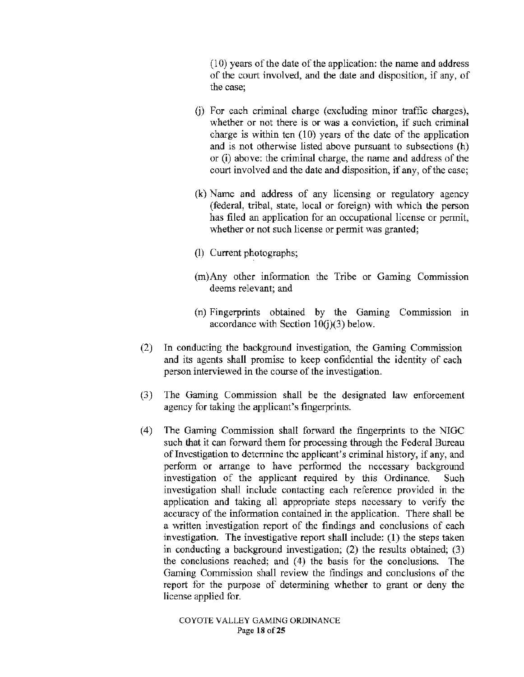( 10) years of the date of the application: the name and address of the court involved, and the date and disposition, if any, of the case;

- G) For each criminal charge (excluding minor traffic charges), whether or not there is or was a conviction, if such criminal charge is within ten (10) years of the date of the application and is not otherwise listed above pursuant to subsections (h) or (i) above: the criminal charge, the name and address of the court involved and the date and disposition, if any, of the case;
- (k) Name and address of any licensing or regulatory agency (federal, tribal, state, local or foreign) with which the person has filed an application for an occupational license or permit, whether or not such license or permit was granted;
- (l) Current photographs;
- (m)Any other information the Tribe or Gaming Commission deems relevant; and
- $(n)$  Fingerprints obtained by the Gaming Commission in accordance with Section 10(j)(3) below.
- (2) In conducting the background investigation, the Gaming Commission and its agents shall promise to keep confidential the identity of each person interviewed in the course of the investigation.
- (3) The Gaming Commission shall be the designated law enforcement agency for taking the applicant's fingerprints.
- (4) The Gaming Commission shall forward the fingerprints to the NIGC such that it can forward them for processing through the Federal Bureau of Investigation to determine the applicant's criminal history, if any, and perform or arrange to have performed the necessary background investigation of the applicant required by this Ordinance. Such investigation shall include contacting each reference provided in the application and taking all appropriate steps necessary to verify the accuracy of the information contained in the application. There shall be a written investigation report of the findings and conclusions of each investigation. The investigative report shall include:  $(1)$  the steps taken in conducting a background investigation; (2) the results obtained; (3) the conclusions reached; and (4) the basis for the conclusions. The Gaming Commission shall review the findings and conclusions of the report for the purpose of determining whether to grant or deny the license applied for.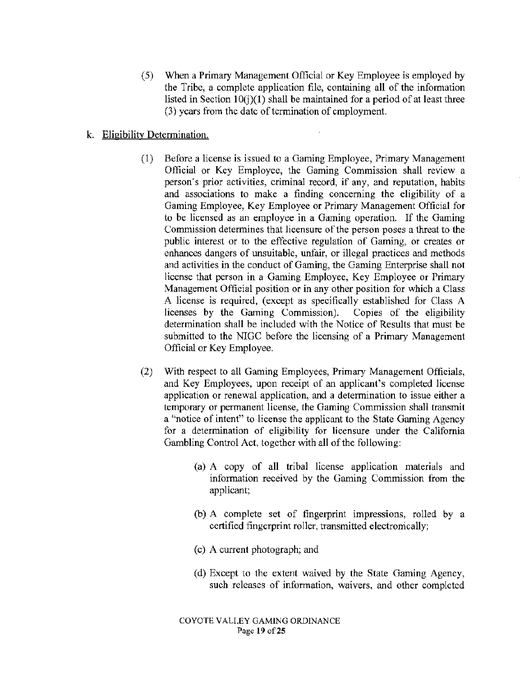( 5) When a Primary Management Official or Key Employee is employed by the Tribe, a complete application file, containing all of the information listed in Section  $10(i)(1)$  shall be maintained for a period of at least three (3) years from the date of termination of employment.

# k. Eligibility Determination.

- (1) Before a license is issued to a Gaming Employee, Primary Management Official or Key Employee, the Gaming Commission shall review a person's prior activities, criminal record, if any, and reputation, habits and associations to make a finding concerning the eligibility of a Gaming Employee, Key Employee or Primary Management Official for to be licensed as an employee in a Gaming operation. If the Gaming Commission determines that licensure of the person poses a threat to the public interest or to the effective regulation of Gaming, or creates or enhances dangers of unsuitable, unfair, or illegal practices and methods and activities in the conduct of Gaming, the Gaming Enterprise shall not license that person in a Gaming Employee, Key Employee or Primary Management Official position or in any other position for which a Class A license is required, (except as specifically established for Class A licenses by the Gaming Commission). Copies of the eligibility determination shall be included with the Notice of Results that must be submitted to the NIGC before the licensing of a Primary Management Official or Key Employee.
- (2) With respect to all Gaming Employees, Primary Management Officials, and Key Employees, upon receipt of an applicant's completed license application or renewal application, and a determination to issue either a temporary or permanent license, the Gaming Commission shall transmit a "notice of intent" to license the applicant to the State Gaming Agency for a determination of eligibility for licensure under the California Gambling Control Act, together with all of the following:
	- (a) A copy of all tribal license application materials and information received by the Gaming Commission from the applicant;
	- (b) A complete set of fingerprint impressions, rolled by a certified fingerprint roller, transmitted electronically;
	- (c) A current photograph; and
	- (d) Except to the extent waived by the State Gaming Agency, such releases of information, waivers, and other completed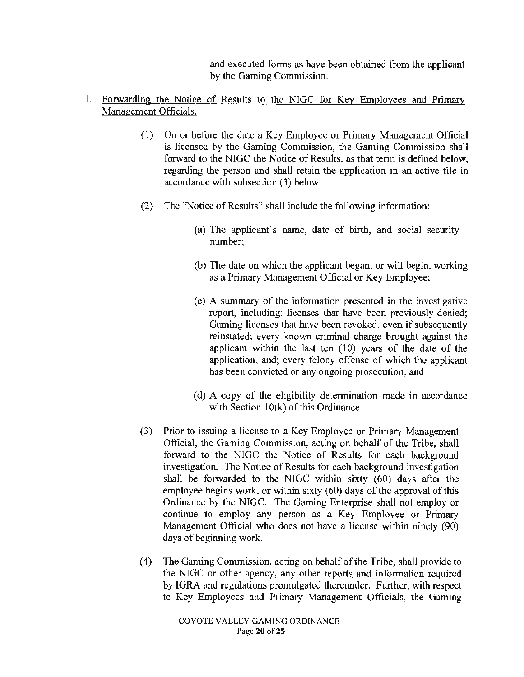and executed forms as have been obtained from the applicant by the Gaming Commission.

# l. Forwarding the Notice of Results to the NIGC for Key Employees and Primary Management Officials.

- ( 1) On or before the date a Key Employee or Primary Management Official is licensed by the Gaming Commission, the Gaming Commission shall forward to the NIGC the Notice of Results, as that term is defined below, regarding the person and shall retain the application in an active file in accordance with subsection (3) below.
- (2) The "Notice of Results" shall include the following information:
	- (a) The applicant's name, date of birth, and social security number;
	- (b) The date on which the applicant began, or will begin, working as a Primary Management Official or Key Employee;
	- (c) A summary of the information presented in the investigative report, including: licenses that have been previously denied; Gaming licenses that have been revoked, even if subsequently reinstated; every known criminal charge brought against the applicant within the last ten (10) years of the date of the application, and; every felony offense of which the applicant has been convicted or any ongoing prosecution; and
	- (d) A copy of the eligibility determination made in accordance with Section  $10(k)$  of this Ordinance.
- (3) Prior to issuing a license to a Key Employee or Primary Management Official, the Gaming Commission, acting on behalf of the Tribe, shall forward to the NIGC the Notice of Results for each background investigation. The Notice of Results for each background investigation shall be forwarded to the NlGC within sixty (60) days after the employee begins work, or within sixty (60) days of the approval of this Ordinance by the NIGC. The Gaming Enterprise shall not employ or continue to employ any person as a Key Employee or Primary Management Official who does not have a license within ninety (90) days of beginning work.
- (4) The Gaming Commission, acting on behalf of the Tribe, shall provide to the NIGC or other agency, any other reports and information required by IGRA and regulations promulgated thereunder. Further, with respect to Key Employees and Primary Management Officials, the Gaming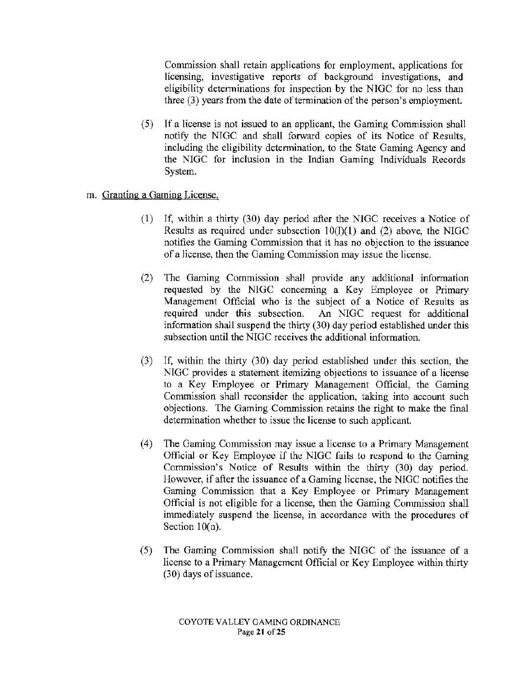Commission shall retain applications for employment, applications for licensing, investigative reports of background investigations, and eligibility determinations for inspection by the NIGC for no less than three  $(3)$  years from the date of termination of the person's employment.

- (5) If a license is not issued to an applicant, the Gaming Commission shall notify the NIGC and shall forward copies of its Notice of Results, including the eligibility determination, to the State Gaming Agency and the NIGC for inclusion in the Indian Gaming Individuals Records System.
- m. Granting a Gaming License.
	- (1) If, within a thirty (30) day period after the NIGC receives a Notice of Results as required under subsection 10(1)(1) and (2) above, the NIGC notifies the Gaming Commission that it has no objection to the issuance of a license, then the Gaming Conunission may issue the license.
	- $(2)$  The Gaming Commission shall provide any additional information requested by the NIGC concerning a Key Employee or Primary Management Official who is the subject of a Notice of Results as required under this subsection. An NIGC request for additional information shall suspend the thirty  $(30)$  day period established under this subsection until the NIGC receives the additional information.
	- (3) If, within the thhty (30) day period established under this section, the NIGC provides a statement itemizing objections to issuance of a license to a Key Employee or Primary Management Official, the Gaming Commission shall reconsider the application, taking into account such objections. The Gaming Commission retains the right to make the final determination whether to issue the license to such applicant.
	- (4) The Gaming Commission may issue a license to a Primary Management Official or Key Employee if the NIGC fails to respond to the Gaming Commission's Notice of Results within the thirty (30) day period. However, if after the issuance of a Gaming license, the NIGC notifies the Gaming Commission that a Key Employee or Primary Management Official is not eligible for a license, then the Gaming Commission shall immediately suspend the license, in accordance with the procedures of Section  $10(n)$ .
	- (5) The Gaming Commission shall notify the NIGC of the issuance of a license to a Primary Management Official or Key Employee within thirty (30) days of issuance.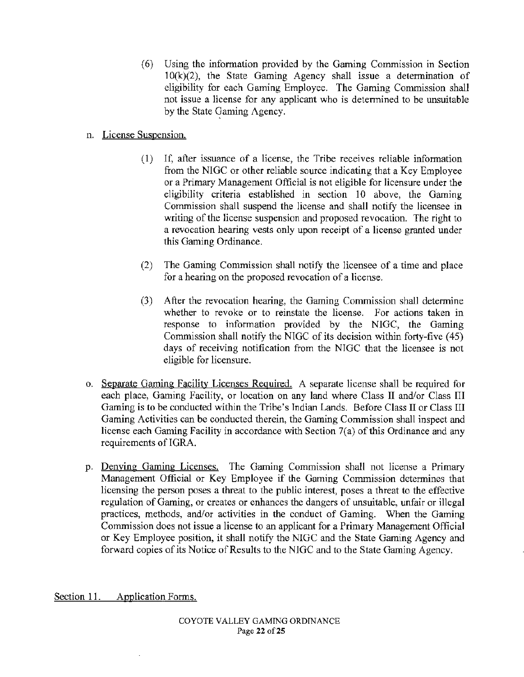(6) Using the information provided by the Gaming Commission in Section  $10(k)(2)$ , the State Gaming Agency shall issue a determination of eligibility for each Gaming Employee. The Gaming Commission shall not issue a license for any applicant who is determined to be unsuitable by the State Gaming Agency.

# n. License Suspension.

- (1) If, after issuance of a license, the Tribe receives reliable information from the NIGC or other reliable source indicating that a Key Employee or a Primary Management Official is not eligible for licensure under the eligibility criteria established in section 10 above, the Gaming Commission shall suspend the license and shall notify the licensee in writing of the license suspension and proposed revocation. The right to a revocation hearing vests only upon receipt of a license granted under this Gaming Ordinance.
- (2) The Gaming Commission shall notify the licensee of a time and place for a hearing on the proposed revocation of a license.
- (3) After the revocation hearing, the Gaming Conunission shall determine whether to revoke or to reinstate the license. For actions taken in response to information provided by the NIGC, the Gaming Commission shall notify the NIGC of its decision within forty-five (45) days of receiving notification from the NIGC that the licensee is not eligible for licensure.
- o. Separate Gaming Facility Licenses Required. A separate license shall be required for each place, Gaming Facility, or location on any land where Class II and/or Class III Gaming is to be conducted within the Tribe's Indian Lands. Before Class II or Class III Gaming Activities can be conducted therein, the Gaming Commission shall inspect and license each Gaming Facility in accordance with Section 7(a) of this Ordinance and any requirements of IGRA.
- p. Denying Gaming Licenses. The Gaming Commission shall not license a Primary Management Official or Key Employee if the Gaming Commission determines that licensing the person poses a threat to the public interest, poses a threat to the effective regulation of Gaming, or creates or enhances the dangers of unsuitable, unfair or illegal practices, methods, and/or activities in the conduct of Gaming. When the Gaming Commission does not issue a license to an applicant for a Primary Management Official or Key Employee position, it shall notify the NIGC and the State Gaming Agency and forward copies of its Notice of Results to the NIGC and to the State Gaming Agency.

Section 11. Application Forms.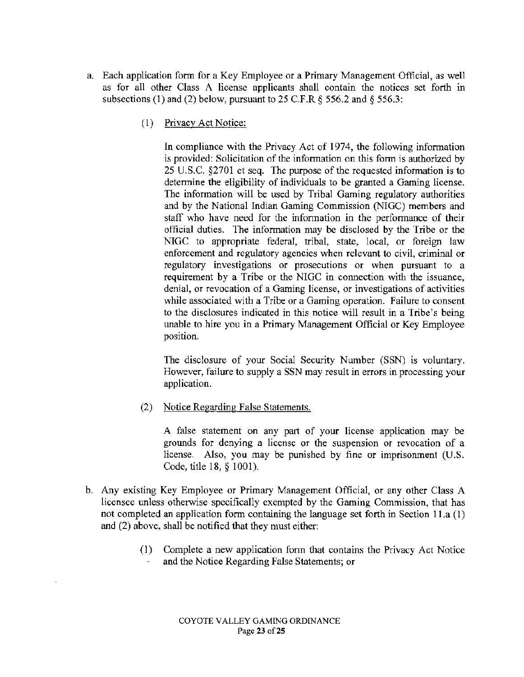- a. Each application form for a Key Employee or a Primary Management Official, as well as for all other Class A license applicants shall contain the notices set forth in subsections (1) and (2) below, pursuant to 25 C.F.R *§* 556.2 and§ 556.3:
	- ( 1) Privacy Act Notice:

In compliance with the Privacy Act of 1974, the following information is provided: Solicitation of the information on this form is authorized by 25 U.S.C. §2701 et seq. The purpose of the requested information is to determine the eligibility of individuals to be granted a Gaming license. The information will be used by Tribal Gaming regulatory authorities and by the National Indian Gaming Commission (NIGC) members and staff who have need for the information in the performance of their official duties. The information may be disclosed by the Tribe or the NIGC to appropriate federal, tribal, state, local, or foreign law enforcement and regulatory agencies when relevant to civil, criminal or regulatory investigations or prosecutions or when pursuant to a requirement by a Tribe or the NIGC in connection with the issuance, denial, or revocation of a Gaming license, or investigations of activities while associated with a Tribe or a Gaming operation. Failure to consent to the disclosures indicated in this notice will result in a Tribe's being unable to hire you in a Primary Management Official or Key Employee position.

The disclosure of your Social Security Number (SSN) is voluntary. However, failure to supply a SSN may result in errors in processing your application.

(2) Notice Regarding False Statements.

A false statement on any part of your license application may be grounds for denying a license or the suspension or revocation of a license. Also, you may be punished by fine or imprisonment (U.S. Code, title 18, § 1001).

- b. Any existing Key Employee or Primary Management Official, or any other Class A licensee unless otherwise specifically exempted by the Gaming Commission, that has not completed an application form containing the language set forth in Section 11.a (1) and (2) above, shall be notified that they must either:
	- (1) Complete a new application form that contains the Privacy Act Notice and the Notice Regarding False Statements; or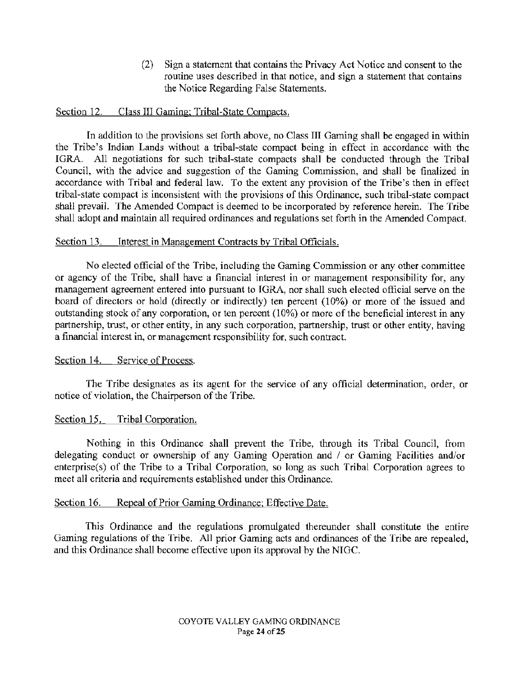(2) Sign a statement that contains the Privacy Act Notice and consent to the routine uses described in that notice, and sign a statement that contains the Notice Regarding False Statements.

### Section 12. Class III Gaming; Tribal-State Compacts.

In addition to the provisions set forth above, no Class III Gaming shall be engaged in within the Tribe's Indian Lands without a tribal-state compact being in effect in accordance with the IGRA. All negotiations for such tribal-state compacts shall be conducted through the Tribal Council, with the advice and suggestion of the Gaming Commission, and shall be finalized in accordance with Tribal and federal law. To the extent any provision of the Tribe's then in effect tribal-state compact is inconsistent with the provisions of this Ordinance, such tribal-state compact shall prevail. The Amended Compact is deemed to be incorporated by reference herein. The Tribe shall adopt and maintain all required ordinances and regulations set forth in the Amended Compact.

## Section 13. Interest in Management Contracts by Tribal Officials.

No elected official of the Tribe, including the Gaming Commission or any other committee or agency of the Tribe, shall have a financial interest in or management responsibility for, any management agreement entered into pursuant to IGRA, nor shall such elected official serve on the board of directors or hold (directly or indirectly) ten percent (10%) or more of the issued and outstanding stock of any corporation, or ten percent ( 10%) or more of the beneficial interest in any partnership, trust, or other entity, in any such corporation, partnership, trust or other entity, having a financial interest in, or management responsibility for, such contract.

#### Section 14. Service of Process.

The Tribe designates as its agent for the service of any official determination, order, or notice of violation, the Chairperson of the Tribe.

#### Section 15. Tribal Corporation.

Nothing in this Ordinance shall prevent the Tribe, through its Tribal Council, from delegating conduct or ownership of any Gaming Operation and / or Gaming Facilities and/or enterprise(s) of the Tribe to a Tribal Corporation, so long as such Tribal Corporation agrees to meet all criteria and requirements established under this Ordinance.

#### Section 16. Repeal of Prior Gaming Ordinance; Effective Date.

This Ordinance and the regulations promulgated thereunder shall constitute the entire Gaming regulations of the Tribe. All prior Gaming acts and ordinances of the Tribe are repealed, and this Ordinance shall become effective upon its approval by the NIGC.